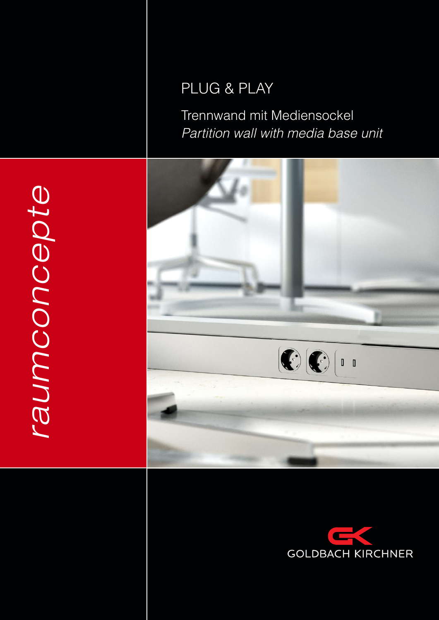# PLUG & PLAY

Trennwand mit Mediensockel Partition wall with media base unit





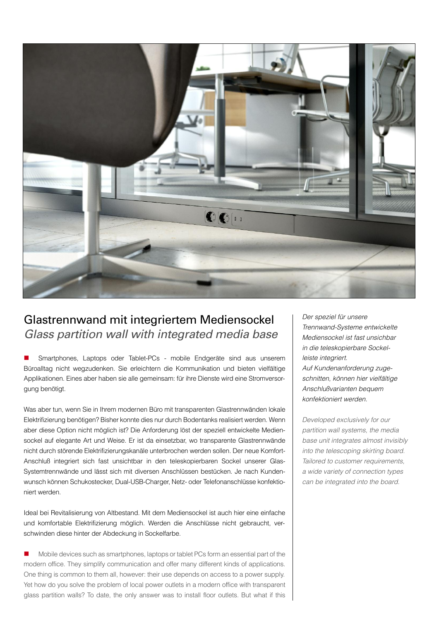

## Glastrennwand mit integriertem Mediensockel Glass partition wall with integrated media base

**n** Smartphones, Laptops oder Tablet-PCs - mobile Endgeräte sind aus unserem Büroalltag nicht wegzudenken. Sie erleichtern die Kommunikation und bieten vielfältige Applikationen. Eines aber haben sie alle gemeinsam: für ihre Dienste wird eine Stromversorgung benötigt.

Was aber tun, wenn Sie in ihrem modernen Büro mit transparenten Glastrennwänden lokale Elektrifizierung benötigen? Bisher konnte dies nur durch Bodentanks realisiert werden. Wenn aber diese Option nicht möglich ist? Die Anforderung löst der speziell entwickelte Mediensockel auf elegante art und Weise. Er ist da einsetzbar, wo transparente Glastrennwände nicht durch störende Elektrifizierungskanäle unterbrochen werden sollen. Der neue Komfortanschluß integriert sich fast unsichtbar in den teleskopierbaren Sockel unserer Glas-Systemtrennwände und lässt sich mit diversen anschlüssen bestücken. Je nach Kundenwunsch können Schukostecker, dual-USB-charger, netz- oder Telefonanschlüsse konfektioniert werden.

ideal bei revitalisierung von altbestand. Mit dem Mediensockel ist auch hier eine einfache und komfortable Elektrifizierung möglich. Werden die anschlüsse nicht gebraucht, verschwinden diese hinter der abdeckung in Sockelfarbe.

n Mobile devices such as smartphones, laptops or tablet PCs form an essential part of the modern office. They simplify communication and offer many different kinds of applications. One thing is common to them all, however: their use depends on access to a power supply. yet how do you solve the problem of local power outlets in a modern office with transparent glass partition walls? To date, the only answer was to install floor outlets. But what if this Der speziel für unsere Trennwand-Systeme entwickelte Mediensockel ist fast unsichbar in die teleskopierbare Sockelleiste integriert. auf Kundenanforderung zugeschnitten, können hier vielfältige anschlußvarianten bequem konfektioniert werden.

Developed exclusively for our partition wall systems, the media base unit integrates almost invisibly into the telescoping skirting board. Tailored to customer requirements, <sup>a</sup> wide variety of connection types can be integrated into the board.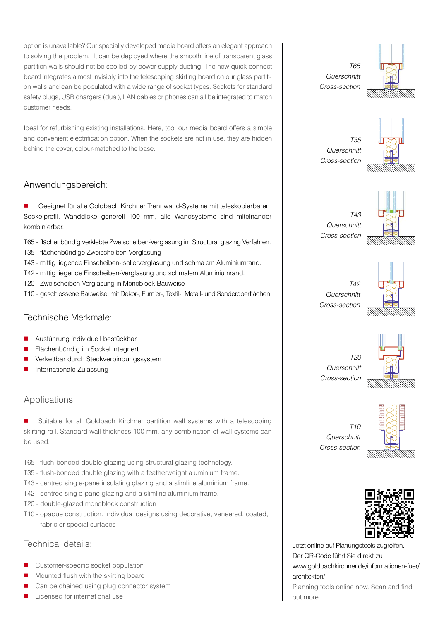option is unavailable? our specially developed media board offers an elegant approach to solving the problem. it can be deployed where the smooth line of transparent glass partition walls should not be spoiled by power supply ducting. The new quick-connect board integrates almost invisibly into the telescoping skirting board on our glass partition walls and can be populated with a wide range of socket types. Sockets for standard safety plugs, USB chargers (dual), Lan cables or phones can all be integrated to match customer needs.

Ideal for refurbishing existing installations. Here, too, our media board offers a simple and convenient electrification option. When the sockets are not in use, they are hidden behind the cover, colour-matched to the base.

#### anwendungsbereich:

■ Geeignet für alle Goldbach Kirchner Trennwand-Systeme mit teleskopierbarem Sockelprofil. Wanddicke generell 100 mm, alle Wandsysteme sind miteinander kombinierbar.

- T65 flächenbündig verklebte zweischeiben-Verglasung im Structural glazing Verfahren.
- T35 flächenbündige zweischeiben-Verglasung
- T43 mittig liegende Einscheiben-isolierverglasung und schmalem aluminiumrand.
- T42 mittig liegende Einscheiben-Verglasung und schmalem aluminiumrand.
- T20 zweischeiben-Verglasung in Monoblock-Bauweise
- T10 geschlossene Bauweise, mit Dekor-, Furnier-, Textil-, Metall- und Sonderoberflächen

#### Technische Merkmale:

- Ausführung individuell bestückbar
- n Flächenbündig im Sockel integriert
- n Verkettbar durch Steckverbindungssystem
- Internationale Zulassung

#### Applications:

Suitable for all Goldbach Kirchner partition wall systems with a telescoping skirting rail. Standard wall thickness 100 mm, any combination of wall systems can be used.

- T65 flush-bonded double glazing using structural glazing technology.
- T35 flush-bonded double glazing with a featherweight aluminium frame.
- T43 centred single-pane insulating glazing and a slimline aluminium frame.
- T42 centred single-pane glazing and a slimline aluminium frame.
- T20 double-glazed monoblock construction
- T10 opaque construction. individual designs using decorative, veneered, coated, fabric or special surfaces

#### Technical details:

- **n** Customer-specific socket population
- $\blacksquare$  Mounted flush with the skirting board
- Can be chained using plug connector system
- Licensed for international use

T65 **Querschnitt** cross-section



T35 **Querschnitt** cross-section



T43 **Querschnitt** cross-section



T42 **Querschnitt** cross-section



**Querschnitt** cross-section

 $T20$ 



 $T10$ **Querschnitt** cross-section



Jetzt online auf Planungstools zugreifen. Der QR-Code führt Sie direkt zu www.goldbachkirchner.de/informationen-fuer/ architekten/ Planning tools online now. Scan and find out more.